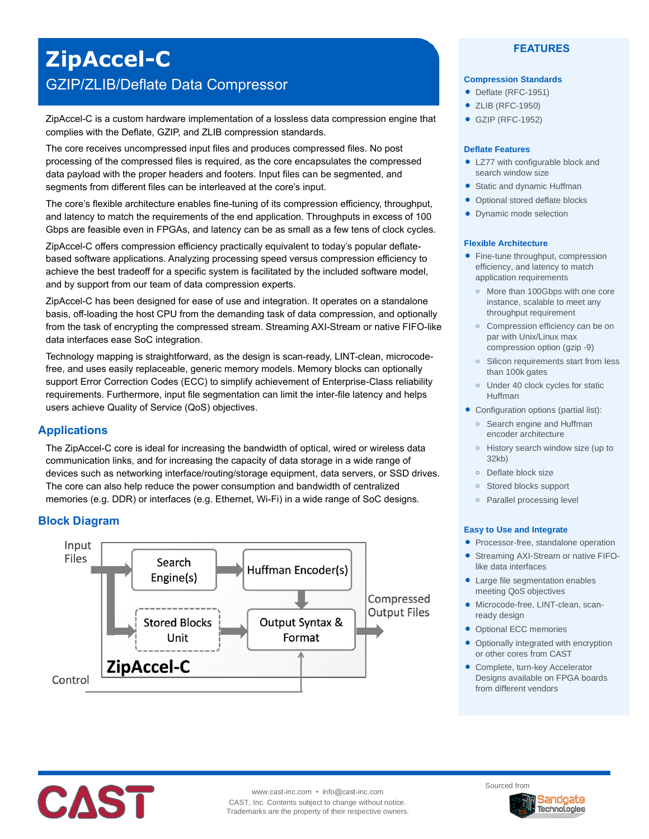# **ZipAccel-C** GZIP/ZLIB/Deflate Data Compressor

ZipAccel-C is a custom hardware implementation of a lossless data compression engine that complies with the Deflate, GZIP, and ZLIB compression standards.

The core receives uncompressed input files and produces compressed files. No post processing of the compressed files is required, as the core encapsulates the compressed data payload with the proper headers and footers. Input files can be segmented, and segments from different files can be interleaved at the core's input.

The core's flexible architecture enables fine-tuning of its compression efficiency, throughput, and latency to match the requirements of the end application. Throughputs in excess of 100 Gbps are feasible even in FPGAs, and latency can be as small as a few tens of clock cycles.

ZipAccel-C offers compression efficiency practically equivalent to today's popular deflatebased software applications. Analyzing processing speed versus compression efficiency to achieve the best tradeoff for a specific system is facilitated by the included software model, and by support from our team of data compression experts.

ZipAccel-C has been designed for ease of use and integration. It operates on a standalone basis, off-loading the host CPU from the demanding task of data compression, and optionally from the task of encrypting the compressed stream. Streaming AXI-Stream or native FIFO-like data interfaces ease SoC integration.

Technology mapping is straightforward, as the design is scan-ready, LINT-clean, microcodefree, and uses easily replaceable, generic memory models. Memory blocks can optionally support Error Correction Codes (ECC) to simplify achievement of Enterprise-Class reliability requirements. Furthermore, input file segmentation can limit the inter-file latency and helps users achieve Quality of Service (QoS) objectives.

# **Applications**

The ZipAccel-C core is ideal for increasing the bandwidth of optical, wired or wireless data communication links, and for increasing the capacity of data storage in a wide range of devices such as networking interface/routing/storage equipment, data servers, or SSD drives. The core can also help reduce the power consumption and bandwidth of centralized memories (e.g. DDR) or interfaces (e.g. Ethernet, Wi-Fi) in a wide range of SoC designs.

# **Block Diagram**



## **FEATURES**

#### **Compression Standards**

- Deflate (RFC-1951)
- ZLIB (RFC-1950)
- GZIP (RFC-1952)

#### **Deflate Features**

- LZ77 with configurable block and search window size
- Static and dynamic Huffman
- Optional stored deflate blocks
- Dynamic mode selection

#### **Flexible Architecture**

- Fine-tune throughput, compression efficiency, and latency to match application requirements
	- **o** More than 100Gbps with one core instance, scalable to meet any throughput requirement
	- **o** Compression efficiency can be on par with Unix/Linux max compression option (gzip -9)
	- **o** Silicon requirements start from less than 100k gates
	- **o** Under 40 clock cycles for static Huffman
- Configuration options (partial list):
	- **o** Search engine and Huffman encoder architecture
	- **o** History search window size (up to 32kb)
	- **o** Deflate block size
	- **o** Stored blocks support
	- **o** Parallel processing level

#### **Easy to Use and Integrate**

- Processor-free, standalone operation
- Streaming AXI-Stream or native FIFOlike data interfaces
- Large file segmentation enables meeting QoS objectives
- Microcode-free, LINT-clean, scanready design
- Optional ECC memories
- Optionally integrated with encryption or other cores from CAST
- Complete, turn-key Accelerator Designs available on FPGA boards from different vendors



www.cast-inc.com • info@cast-inc.com CAST, Inc. Contents subject to change without notice. Trademarks are the property of their respective owners.